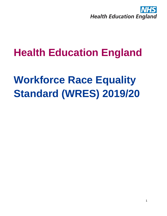

## **Health Education England**

# **Workforce Race Equality Standard (WRES) 2019/20**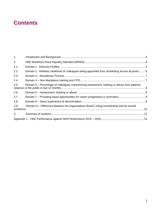## **Contents**

| 1.                 |                                                                                                    |  |
|--------------------|----------------------------------------------------------------------------------------------------|--|
| 2.                 |                                                                                                    |  |
| 2.1.               |                                                                                                    |  |
| 2.2.               | Domain 2 - Relative Likelihood of colleagues being appointed from shortlisting across all posts  6 |  |
| 2.3.               |                                                                                                    |  |
| 2.4                |                                                                                                    |  |
| 2.5.               | Domain 5 – Percentage of colleagues experiencing harassment, bullying or abuse from patients,      |  |
| 2.6.               |                                                                                                    |  |
| 2.7.               |                                                                                                    |  |
| 2.8                |                                                                                                    |  |
| 2.9.<br>workforce. | Domain 9 – Difference between the organisations Board, voting membership and its overall           |  |
| 3.                 |                                                                                                    |  |
|                    |                                                                                                    |  |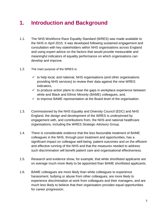## <span id="page-2-0"></span>**1. Introduction and Background**

- 1.1. The NHS Workforce Race Equality Standard (WRES) was made available to the NHS in April 2015. It was developed following sustained engagement and consultation with key stakeholders within NHS organisations across England and using expert advice on the factors that would provide measurable and meaningful indicators of equality performance on which organisations can develop and improve.
- 1.2. The main purpose of the WRES is:
	- $\checkmark$  to help local, and national, NHS organisations (and other organisations providing NHS services) to review their data against the nine WRES indicators,
	- $\checkmark$  to produce action plans to close the gaps in workplace experience between white and Black and Ethnic Minority (BAME) colleagues, and,
	- $\checkmark$  to improve BAME representation at the Board level of the organisation.
- 1.3. Commissioned by the NHS Equality and Diversity Council (EDC) and NHS England, the design and development of the WRES is underpinned by engagement with, and contributions from, the NHS and national healthcare organisations, including the WRES Strategic Advisory Group.
- 1.4. There is considerable evidence that the less favourable treatment of BAME colleagues in the NHS, through poor treatment and opportunities, has a significant impact on colleague well-being, patient outcomes and on the efficient and effective running of the NHS and that the measures needed to address such discrimination will benefit patient care and organisational effectiveness.
- 1.5. Research and evidence show, for example, that white shortlisted applicants are on average much more likely to be appointed than BAME shortlisted applicants.
- 1.6. BAME colleagues are more likely than white colleagues to experience harassment, bullying or abuse from other colleagues; are more likely to experience discrimination at work from colleagues and their managers, and are much less likely to believe that their organisation provides equal opportunities for career progression.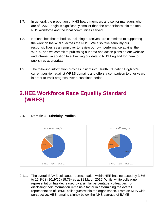- 1.7. In general, the proportion of NHS board members and senior managers who are of BAME origin is significantly smaller than the proportion within the total NHS workforce and the local communities served.
- 1.8. National healthcare bodies, including ourselves, are committed to supporting the work on the WRES across the NHS. We also take seriously our responsibilities as an employer to review our own performance against the WRES, and we commit to publishing our data and action plans on our website and intranet, in addition to submitting our data to NHS England for them to publish as appropriate.
- 1.9. The following information provides insight into Health Education England's current position against WRES domains and offers a comparison to prior years in order to track progress over a sustained period.

## <span id="page-3-0"></span>**2.HEE Workforce Race Equality Standard (WRES)**

#### <span id="page-3-1"></span>**2.1. Domain 1 - Ethnicity Profiles**



2.1.1. The overall BAME colleague representation within HEE has increased by 3.5% to 19.2% in 2019/20 (15.7% as at 31 March 2019).Whilst white colleague representation has decreased by a similar percentage, colleagues not disclosing their information remains a factor in determining the overall representation of BAME colleagues within the organisation. From an NHS wide perspective, HEE remains slightly below the NHS average of BAME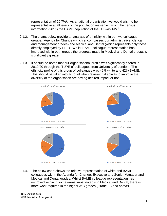representation of 20.7%<sup>1</sup>. As a national organisation we would wish to be representative at all levels of the population we serve. From the census information (2011) the BAME population of the UK was 14%<sup>2</sup>

- 2.1.2. The charts below provide an analysis of ethnicity within our two colleague groups: Agenda for Change (which encompasses our administrative, clerical and management grades) and Medical and Dental (which represents only those directly employed by HEE). Whilst BAME colleague representation has improved within both groups the progress made in Medical and Dental groups is significantly greater.
- 2.1.3. It should be noted that our organisational profile was significantly altered in 2019/20 through the TUPE of colleagues from University of London. The ethnicity profile of this group of colleagues was 49% white and 42% BAME. This should be taken into account when reviewing if activity to improve the diversity of the organisation are having desired impact or not.



2.1.4. The below chart shows the relative representation of white and BAME colleagues within the Agenda for Change, Executive and Senior Manager and Medical and Dental grades. Whilst BAME colleague representation has improved within in some areas, most notably in Medical and Dental, there is more work required in the higher AfC grades (Grade 8B and above).

 $\overline{\phantom{a}}$ <sup>1</sup> NHS England data

<sup>2</sup> ONS data taken from gov.uk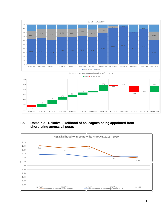

#### <span id="page-5-0"></span>**3.2. Domain 2 - Relative Likelihood of colleagues being appointed from shortlisting across all posts**

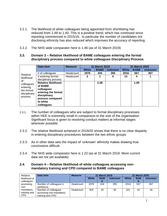- 3.2.1. The likelihood of white colleagues being appointed from shortlisting has reduced from 1.48 to 1.40. This is a positive trend, which has continued since reporting commenced in 2015/16. In particular the number of candidates not disclosing ethnicity has also reduced which improves the accuracy of reporting.
- 3.2.2. The NHS wide comparator here is 1.46 (as of 31 March 2019)
- <span id="page-6-0"></span>**3.3. Domain 3 – Relative likelihood of BAME colleagues entering the formal disciplinary process compared to white colleagues Disciplinary Process**

|                                                                       | Data item                                                                                                                                | <b>Measure</b> | 31 March 2019 |             |                | 31 March 2020 |             |                |
|-----------------------------------------------------------------------|------------------------------------------------------------------------------------------------------------------------------------------|----------------|---------------|-------------|----------------|---------------|-------------|----------------|
|                                                                       |                                                                                                                                          |                | <b>White</b>  | <b>BAME</b> | <b>Unknown</b> | <b>White</b>  | <b>BAME</b> | <b>Unknown</b> |
|                                                                       | # of colleagues                                                                                                                          | Headcount      | 1976          | 434         | 355            | 2016          | 567         | 367            |
| Relative<br>likelihood                                                | # entering formal<br>disciplinary process                                                                                                | Headcount      | 2             |             | 0              | 13            | 4           |                |
| οf<br>colleagues<br>entering<br>the formal<br>disciplinary<br>process | <b>Relative likelihood</b><br>of BAME<br>colleagues<br>entering the formal<br>disciplinary<br>process compared<br>to white<br>colleagues |                |               | 2.28        |                |               | 1.09        |                |

- 2.3.1. The number of colleagues who are subject to formal disciplinary processes within HEE is extremely small in comparison to the size of the organisation. Significant focus is given to resolving conduct matters at informal stages wherever possible.
- 2.3.2. The relative likelihood achieved in 2019/20 shows that there is no clear disparity in entering disciplinary procedures between the two ethnic groups
- 2.3.3. As in other data sets the impact of 'unknown' ethnicity makes drawing true conclusions difficult.
- 2.3.4. The NHS wide comparator here is 1.22 (as at 31 March 2019. More current data set not yet available).

#### <span id="page-6-1"></span>**2.4. Domain 4 – Relative likelihood of white colleagues accessing nonmandatory training and CPD compared to BAME colleagues**

| Relative                                | Data item                                                            | <b>Measure</b> |              | <b>31 March 2019</b> |                | <b>31 March 2020</b> |            |                |
|-----------------------------------------|----------------------------------------------------------------------|----------------|--------------|----------------------|----------------|----------------------|------------|----------------|
| likelihood of                           |                                                                      |                | <b>White</b> | <b>BAM</b>           | <b>Unknown</b> | <b>White</b>         | <b>BAM</b> | <b>Unknown</b> |
| colleagues                              |                                                                      |                |              |                      |                |                      |            |                |
| accessing<br>non-                       | Number of colleagues in<br>workforce:                                | Headcount      | 1976         | 434                  | 355            | 2016                 | 567        | 367            |
| mandatory<br>training and<br><b>CPD</b> | Number of colleagues<br>accessing non-mandatory<br>training and CPD: | Headcount      | 303          | 43                   | 55             | 221                  | 42         | 18             |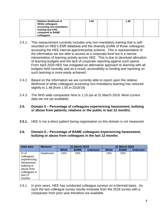| Relative likelihood of<br>White colleagues | 1.55 | 1.48 |  |
|--------------------------------------------|------|------|--|
| accessing non-mandatory                    |      |      |  |
| training and CPD<br>compared to BAME       |      |      |  |
| colleagues                                 |      |      |  |

- 2.4.1. This measurement currently includes only non-mandatory training that is selfrecorded on HEE's ESR database and the diversity profile of those colleagues accessing the HEE internal apprenticeship scheme. This is representative of the information we are able to access at a corporate level but is a narrow interpretation of learning activity across HEE. This is due to devolved allocation of learning budgets and the lack of corporate reporting against such spend. From April 2020 HEE has instigated an alternative approach to learning with all budgets held centrally and as a result, accessibility to funding and reporting on such learning is more easily achieved.
- 2.4.2. Based on the information we are currently able to report upon the relative likelihood of white colleagues accessing non-mandatory learning has reduced slightly to 1.48 (from 1.55 in 2018/19)
- 2.4.3. The NHS wide comparator here is 1.15 (as at 31 March 2019. More current data set not yet available).
- <span id="page-7-0"></span>**2.5. Domain 5 – Percentage of colleagues experiencing harassment, bullying or abuse from patients, relatives or the public in last 12 months.**
- **2.5.1.** HEE is not a direct patient facing organisation so this domain is not measured.

#### <span id="page-7-1"></span>**2.6. Domain 6 – Percentage of BAME colleagues experiencing harassment, bullying or abuse from colleagues in the last 12 months**

| Data item                                                                                                              | <b>Measure</b> | 31 March 2019 |             |                |              | 31 March 2020 |                |
|------------------------------------------------------------------------------------------------------------------------|----------------|---------------|-------------|----------------|--------------|---------------|----------------|
|                                                                                                                        |                | <b>White</b>  | <b>BAME</b> | <b>Unknown</b> | <b>White</b> | <b>BAME</b>   | <b>Unknown</b> |
| $%$ of<br>colleagues<br>experiencing<br>harassment,<br>bullying or<br>abuse from<br>colleagues in<br>last 12<br>months | Headcount      | 14%           | 15%         |                | 14%          | 15%           |                |

2.6.1. In prior years, HEE has conducted colleague surveys on a biennial basis. As such the last colleague survey results emanate from the 2018 survey with a comparator from prior year therefore not available.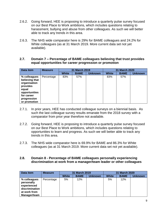- 2.6.2. Going forward, HEE is proposing to introduce a quarterly pulse survey focused on our Best Place to Work ambitions, which includes questions relating to harassment, bullying and abuse from other colleagues. As such we will better able to track any trends in this area.
- 2.6.3. The NHS wide comparator here is 29% for BAME colleagues and 24.2% for White colleagues (as at 31 March 2019. More current data set not yet available).

#### <span id="page-8-0"></span>**2.7. Domain 7 – Percentage of BAME colleagues believing that trust provides equal opportunities for career progression or promotion**

| Data item                                                                                                                         | <b>Measure</b> |              | 31 March 2019 | 31 March 2020  |              |             |                |
|-----------------------------------------------------------------------------------------------------------------------------------|----------------|--------------|---------------|----------------|--------------|-------------|----------------|
|                                                                                                                                   |                | <b>White</b> | <b>BAME</b>   | <b>Unknown</b> | <b>White</b> | <b>BAME</b> | <b>Unknown</b> |
| % colleagues<br>believing that<br>organisation<br>provides<br>equal<br>opportunities<br>for career<br>progression<br>or promotion | Percentage     | 83%          | 57%           |                | 83%          | 57%         |                |

- 2.7.1. In prior years, HEE has conducted colleague surveys on a biennial basis. As such the last colleague survey results emanate from the 2018 survey with a comparator from prior year therefore not available.
- 2.7.2. Going forward, HEE is proposing to introduce a quarterly pulse survey focused on our Best Place to Work ambitions, which includes questions relating to opportunities to learn and progress. As such we will better able to track any trends in this area.
- 2.7.3. The NHS wide comparator here is 69.9% for BAME and 86.3% for White colleagues (as at 31 March 2019. More current data set not yet available).

#### <span id="page-8-1"></span>**2.8. Domain 8 - Percentage of BAME colleagues personally experiencing discrimination at work from a manager/team leader or other colleagues**

| Data item                                                                                   | <b>Measure</b> | <b>31 March 2019</b> |             |                | <b>31 March 2020</b> |             |                |  |
|---------------------------------------------------------------------------------------------|----------------|----------------------|-------------|----------------|----------------------|-------------|----------------|--|
|                                                                                             |                | <b>White</b>         | <b>BAME</b> | <b>Unknown</b> | <b>White</b>         | <b>BAME</b> | <b>Unknown</b> |  |
| % colleagues<br>personally<br>experienced<br>discrimination<br>at work from<br>Manager/team | Percentage     | 5%                   | 12%         |                | 5%                   | 12%         |                |  |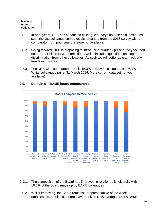| leader or |  |  |  |  |
|-----------|--|--|--|--|
| other     |  |  |  |  |
| colleague |  |  |  |  |

- 2.8.1. In prior years, HEE has conducted colleague surveys on a biennial basis. As such the last colleague survey results emanate from the 2018 survey with a comparator from prior year therefore not available.
- 2.8.2. Going forward, HEE is proposing to introduce a quarterly pulse survey focused on our Best Place to Work ambitions, which includes questions relating to discrimination from other colleagues. As such we will better able to track any trends in this area.
- 2.8.3. The NHS wide comparator here is 15.3% of BAME colleagues and 6.4% of White colleagues (as at 31 March 2019. More current data set not yet available).



#### <span id="page-9-0"></span>**2.9. Domain 9 – BAME board membership**

- 2.9.1. The composition of the Board has improved in relation to its diversity with 10.5% of the Board made up by BAME colleagues
- 2.9.2. Whilst improving, the Board remains unrepresentative of the whole organisation, albeit it compares favourably to NHS averages (8.4% BAME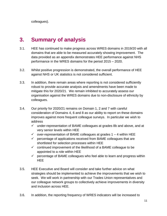colleagues).

## <span id="page-10-0"></span>**3. Summary of analysis**

- 3.1. HEE has continued to make progress across WRES domains in 2019/20 with all domains that are able to be measured accurately showing improvement. The data provided as an appendix demonstrates HEE performance against NHS performance in the WRES domains for the period 2015 – 2020.
- 3.2. Whilst positive progression is demonstrated, the overall performance of HEE against NHS or UK statistics is not considered sufficient.
- 3.3. In addition, there remain areas where reporting is not considered sufficiently robust to provide accurate analysis and amendments have been made to mitigate this for 2020/21. We remain inhibited to accurately assess our organisation against the WRES domains due to non-disclosure of ethnicity by colleagues.
- 3.4. Our priority for 2020/21 remains on Domain 1, 2 and 7 with careful consideration of Domains 4, 6 and 8 as our ability to report on these domains improves against more frequent colleague surveys. In particular we wish to address
	- $\checkmark$  under-representation of BAME colleagues at grades 8b and above, and at very senior levels within HEE
	- $\checkmark$  over-representation of BAME colleagues at grades 1 4 within HEE
	- $\checkmark$  percentage of applications received from BAME colleagues that are shortlisted for selection processes within HEE
	- $\checkmark$  continued improvement of the likelihood of a BAME colleague to be appointed to a role within HEE
	- $\checkmark$  percentage of BAME colleagues who feel able to learn and progress within HEE
- 3.5. HEE Executive and Board will consider and take further advice on what strategies should be implemented to achieve the improvements that we wish to seek. We will work in partnership with our Trades Union representatives and our colleague network groups to collectively achieve improvements in diversity and inclusion across HEE.
- 3.6. In addition, the reporting frequency of WRES indicators will be increased to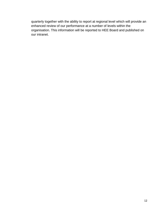quarterly together with the ability to report at regional level which will provide an enhanced review of our performance at a number of levels within the organisation. This information will be reported to HEE Board and published on our intranet.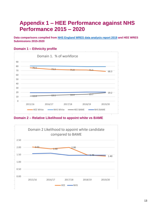## <span id="page-12-0"></span>**Appendix 1 – HEE Performance against NHS Performance 2015 – 2020**

**Data comparisons compiled from [NHS England WRES data analysis report 2019](https://www.england.nhs.uk/wp-content/uploads/2020/01/wres-2019-data-report.pdf) and HEE WRES Submissions 2015-2020**

#### **Domain 1 – Ethnicity profile**



**Domain 2 – Relative Likelihood to appoint white vs BAME**

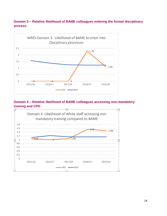#### **Domain 3 – Relative likelihood of BAME colleagues entering the formal disciplinary process**



#### **Domain 4 – Relative likelihood of BAME colleagues accessing non-mandatory training and CPD**

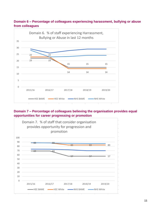#### **Domain 6 – Percentage of colleagues experiencing harassment, bullying or abuse from colleagues**



#### **Domain 7 – Percentage of colleagues believing the organisation provides equal opportunities for career progressing or promotion**